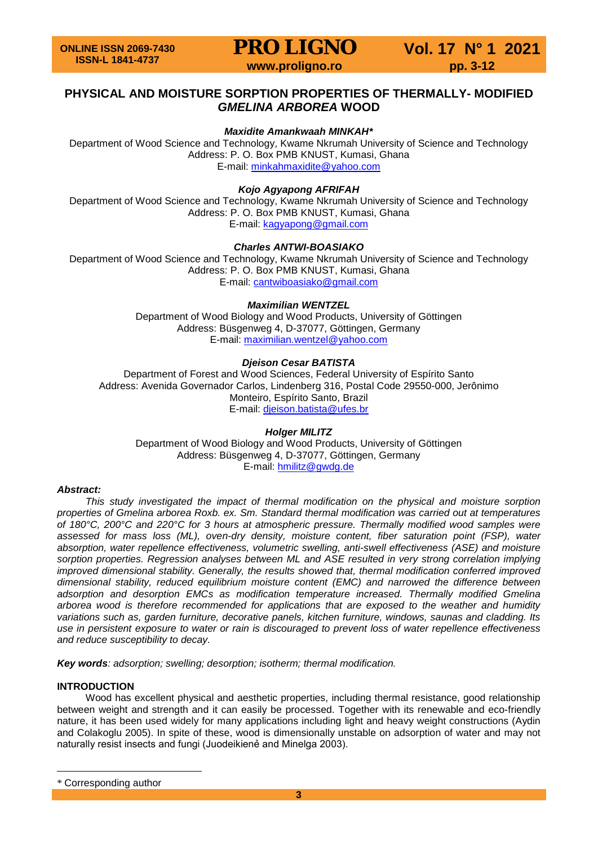# **PHYSICAL AND MOISTURE SORPTION PROPERTIES OF THERMALLY- MODIFIED**  *GMELINA ARBOREA* **WOOD**

# *Maxidite Amankwaah MINKAH***[\\*](#page-0-0)**

Department of Wood Science and Technology, Kwame Nkrumah University of Science and Technology Address: P. O. Box PMB KNUST, Kumasi, Ghana E-mail: [minkahmaxidite@yahoo.com](mailto:minkahmaxidite@yahoo.com)

*Kojo Agyapong AFRIFAH*

Department of Wood Science and Technology, Kwame Nkrumah University of Science and Technology Address: P. O. Box PMB KNUST, Kumasi, Ghana E-mail: [kagyapong@gmail.com](mailto:kagyapong@gmail.com)

# *Charles ANTWI-BOASIAKO*

Department of Wood Science and Technology, Kwame Nkrumah University of Science and Technology Address: P. O. Box PMB KNUST, Kumasi, Ghana E-mail: [cantwiboasiako@gmail.com](mailto:cantwiboasiako@gmail.com)

# *Maximilian WENTZEL*

Department of Wood Biology and Wood Products, University of Göttingen Address: Büsgenweg 4, D-37077, Göttingen, Germany E-mail: [maximilian.wentzel@yahoo.com](mailto:maximilian.wentzel@yahoo.com)

# *Djeison Cesar BATISTA*

Department of Forest and Wood Sciences, Federal University of Espírito Santo Address: Avenida Governador Carlos, Lindenberg 316, Postal Code 29550-000, Jerônimo Monteiro, Espírito Santo, Brazil E-mail: [djeison.batista@ufes.br](mailto:djeison.batista@ufes.br)

# *Holger MILITZ*

Department of Wood Biology and Wood Products, University of Göttingen Address: Büsgenweg 4, D-37077, Göttingen, Germany E-mail: [hmilitz@gwdg.de](mailto:hmilitz@gwdg.de)

# *Abstract:*

*This study investigated the impact of thermal modification on the physical and moisture sorption properties of Gmelina arborea Roxb. ex. Sm. Standard thermal modification was carried out at temperatures of 180°C, 200°C and 220°C for 3 hours at atmospheric pressure. Thermally modified wood samples were assessed for mass loss (ML), oven-dry density, moisture content, fiber saturation point (FSP), water absorption, water repellence effectiveness, volumetric swelling, anti-swell effectiveness (ASE) and moisture sorption properties. Regression analyses between ML and ASE resulted in very strong correlation implying improved dimensional stability. Generally, the results showed that, thermal modification conferred improved dimensional stability, reduced equilibrium moisture content (EMC) and narrowed the difference between adsorption and desorption EMCs as modification temperature increased. Thermally modified Gmelina arborea wood is therefore recommended for applications that are exposed to the weather and humidity variations such as, garden furniture, decorative panels, kitchen furniture, windows, saunas and cladding. Its use in persistent exposure to water or rain is discouraged to prevent loss of water repellence effectiveness and reduce susceptibility to decay.*

*Key words: adsorption; swelling; desorption; isotherm; thermal modification.*

# **INTRODUCTION**

Wood has excellent physical and aesthetic properties, including thermal resistance, good relationship between weight and strength and it can easily be processed. Together with its renewable and eco-friendly nature, it has been used widely for many applications including light and heavy weight constructions (Aydin and Colakoglu 2005). In spite of these, wood is dimensionally unstable on adsorption of water and may not naturally resist insects and fungi (Juodeikienẻ and Minelga 2003).

 $\overline{a}$ 

<span id="page-0-0"></span><sup>\*</sup> Corresponding author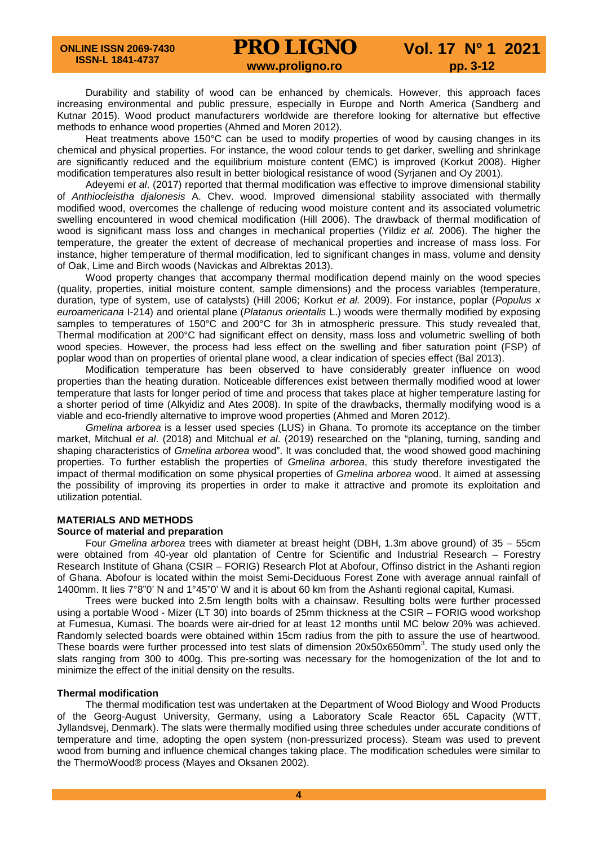Durability and stability of wood can be enhanced by chemicals. However, this approach faces increasing environmental and public pressure, especially in Europe and North America (Sandberg and Kutnar 2015). Wood product manufacturers worldwide are therefore looking for alternative but effective methods to enhance wood properties (Ahmed and Moren 2012).

Heat treatments above 150°C can be used to modify properties of wood by causing changes in its chemical and physical properties. For instance, the wood colour tends to get darker, swelling and shrinkage are significantly reduced and the equilibrium moisture content (EMC) is improved (Korkut 2008). Higher modification temperatures also result in better biological resistance of wood (Syrjanen and Oy 2001).

Adeyemi *et al*. (2017) reported that thermal modification was effective to improve dimensional stability of *Anthiocleistha djalonesis* A. Chev. wood. Improved dimensional stability associated with thermally modified wood, overcomes the challenge of reducing wood moisture content and its associated volumetric swelling encountered in wood chemical modification (Hill 2006). The drawback of thermal modification of wood is significant mass loss and changes in mechanical properties (Yildiz *et al.* 2006). The higher the temperature, the greater the extent of decrease of mechanical properties and increase of mass loss. For instance, higher temperature of thermal modification, led to significant changes in mass, volume and density of Oak, Lime and Birch woods (Navickas and Albrektas 2013).

Wood property changes that accompany thermal modification depend mainly on the wood species (quality, properties, initial moisture content, sample dimensions) and the process variables (temperature, duration, type of system, use of catalysts) (Hill 2006; Korkut *et al.* 2009). For instance, poplar (*Populus x euroamericana* I-214) and oriental plane (*Platanus orientalis* L.) woods were thermally modified by exposing samples to temperatures of 150°C and 200°C for 3h in atmospheric pressure. This study revealed that, Thermal modification at 200°C had significant effect on density, mass loss and volumetric swelling of both wood species. However, the process had less effect on the swelling and fiber saturation point (FSP) of poplar wood than on properties of oriental plane wood, a clear indication of species effect (Bal 2013).

Modification temperature has been observed to have considerably greater influence on wood properties than the heating duration. Noticeable differences exist between thermally modified wood at lower temperature that lasts for longer period of time and process that takes place at higher temperature lasting for a shorter period of time (Alkyidiz and Ates 2008). In spite of the drawbacks, thermally modifying wood is a viable and eco-friendly alternative to improve wood properties (Ahmed and Moren 2012).

*Gmelina arborea* is a lesser used species (LUS) in Ghana. To promote its acceptance on the timber market, Mitchual *et al*. (2018) and Mitchual *et al*. (2019) researched on the "planing, turning, sanding and shaping characteristics of *Gmelina arborea* wood". It was concluded that, the wood showed good machining properties. To further establish the properties of *Gmelina arborea*, this study therefore investigated the impact of thermal modification on some physical properties of *Gmelina arborea* wood. It aimed at assessing the possibility of improving its properties in order to make it attractive and promote its exploitation and utilization potential.

# **MATERIALS AND METHODS**

# **Source of material and preparation**

Four *Gmelina arborea* trees with diameter at breast height (DBH, 1.3m above ground) of 35 – 55cm were obtained from 40-year old plantation of Centre for Scientific and Industrial Research – Forestry Research Institute of Ghana (CSIR – FORIG) Research Plot at Abofour, Offinso district in the Ashanti region of Ghana. Abofour is located within the moist Semi-Deciduous Forest Zone with average annual rainfall of 1400mm. It lies 7°8"0' N and 1°45"0' W and it is about 60 km from the Ashanti regional capital, Kumasi.

Trees were bucked into 2.5m length bolts with a chainsaw. Resulting bolts were further processed using a portable Wood - Mizer (LT 30) into boards of 25mm thickness at the CSIR – FORIG wood workshop at Fumesua, Kumasi. The boards were air-dried for at least 12 months until MC below 20% was achieved. Randomly selected boards were obtained within 15cm radius from the pith to assure the use of heartwood. These boards were further processed into test slats of dimension  $20x50x650mm^3$ . The study used only the slats ranging from 300 to 400g. This pre-sorting was necessary for the homogenization of the lot and to minimize the effect of the initial density on the results.

# **Thermal modification**

The thermal modification test was undertaken at the Department of Wood Biology and Wood Products of the Georg-August University, Germany, using a Laboratory Scale Reactor 65L Capacity (WTT, Jyllandsvej, Denmark). The slats were thermally modified using three schedules under accurate conditions of temperature and time, adopting the open system (non-pressurized process). Steam was used to prevent wood from burning and influence chemical changes taking place. The modification schedules were similar to the ThermoWood® process (Mayes and Oksanen 2002).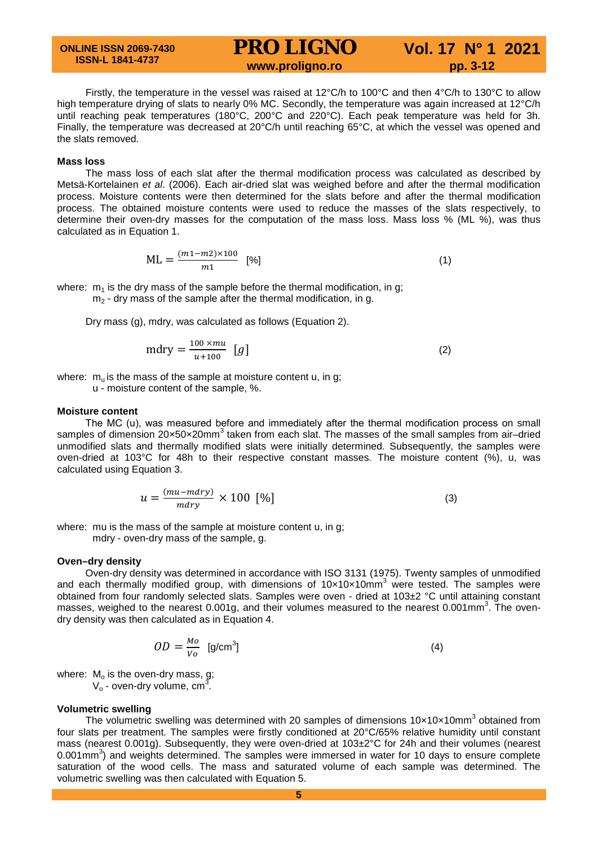**ONLINE ISSN 2069-7430 ISSN-L 1841-4737**

# **PRO LIGNO** Vol. 17 N° 1 2021<br>www.proligno.ro pp. 3-12

Firstly, the temperature in the vessel was raised at 12°C/h to 100°C and then 4°C/h to 130°C to allow high temperature drying of slats to nearly 0% MC. Secondly, the temperature was again increased at 12°C/h until reaching peak temperatures (180°C, 200°C and 220°C). Each peak temperature was held for 3h. Finally, the temperature was decreased at 20°C/h until reaching 65°C, at which the vessel was opened and the slats removed.

### **Mass loss**

The mass loss of each slat after the thermal modification process was calculated as described by Metsä-Kortelainen *et al*. (2006). Each air-dried slat was weighed before and after the thermal modification process. Moisture contents were then determined for the slats before and after the thermal modification process. The obtained moisture contents were used to reduce the masses of the slats respectively, to determine their oven-dry masses for the computation of the mass loss. Mass loss % (ML %), was thus calculated as in Equation 1.

$$
ML = \frac{(m1 - m2) \times 100}{m1} \quad [%]
$$
 (1)

where:  $m_1$  is the dry mass of the sample before the thermal modification, in g;  $m<sub>2</sub>$  - dry mass of the sample after the thermal modification, in g.

Dry mass (g), mdry, was calculated as follows (Equation 2).

$$
m\text{dry} = \frac{100 \times mu}{u + 100} \quad [g] \tag{2}
$$

where:  $m_u$  is the mass of the sample at moisture content u, in g;

u - moisture content of the sample, %.

### **Moisture content**

The MC (u), was measured before and immediately after the thermal modification process on small samples of dimension 20×50×20mm<sup>3</sup> taken from each slat. The masses of the small samples from air-dried unmodified slats and thermally modified slats were initially determined. Subsequently, the samples were oven-dried at 103°C for 48h to their respective constant masses*.* The moisture content (%), u, was calculated using Equation 3.

$$
u = \frac{(mu - mdry)}{mdry} \times 100 [%]
$$
 (3)

where: mu is the mass of the sample at moisture content u, in g; mdry - oven-dry mass of the sample, g.

#### **Oven–dry density**

Oven-dry density was determined in accordance with ISO 3131 (1975). Twenty samples of unmodified and each thermally modified group, with dimensions of  $10\times10\times10$  mm<sup>3</sup> were tested. The samples were obtained from four randomly selected slats. Samples were oven - dried at 103±2 °C until attaining constant masses, weighed to the nearest 0.001g, and their volumes measured to the nearest 0.001mm<sup>3</sup>. The ovendry density was then calculated as in Equation 4.

$$
OD = \frac{Mo}{Vo} \quad \text{[g/cm}^3\text{]}
$$
 (4)

where:  $M<sub>o</sub>$  is the oven-dry mass, g;

 $V_0$  - oven-dry volume, cm<sup>3</sup>.

#### **Volumetric swelling**

The volumetric swelling was determined with 20 samples of dimensions  $10 \times 10 \times 10$  mm<sup>3</sup> obtained from four slats per treatment. The samples were firstly conditioned at 20°C/65% relative humidity until constant mass (nearest 0.001g). Subsequently, they were oven-dried at 103±2°C for 24h and their volumes (nearest 0.001mm<sup>3</sup>) and weights determined. The samples were immersed in water for 10 days to ensure complete saturation of the wood cells. The mass and saturated volume of each sample was determined. The volumetric swelling was then calculated with Equation 5.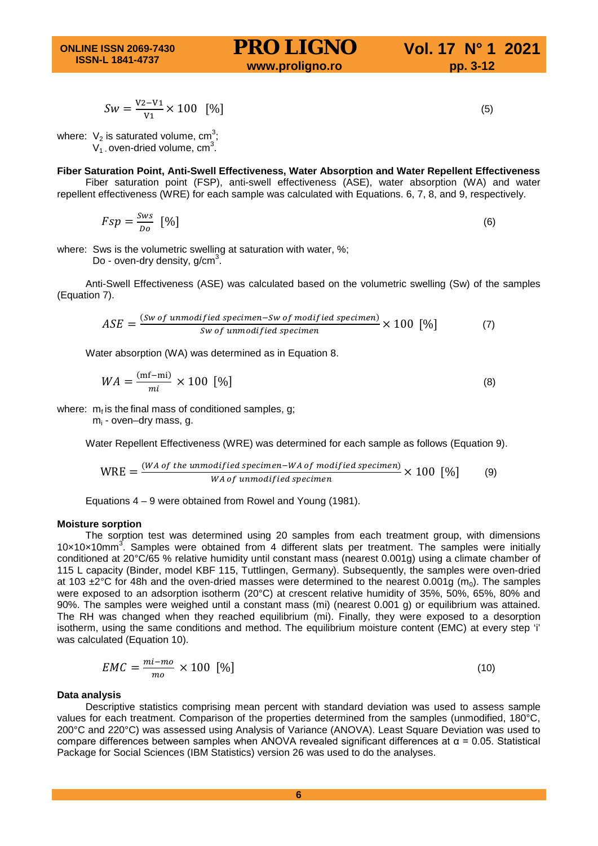$$
Sw = \frac{V^2 - V^1}{V^1} \times 100 \quad [%]
$$
\n<sup>(5)</sup>

where:  $V_2$  is saturated volume, cm<sup>3</sup>;  $V_1$  oven-dried volume, cm<sup>3</sup>.

# **Fiber Saturation Point, Anti-Swell Effectiveness, Water Absorption and Water Repellent Effectiveness**

Fiber saturation point (FSP), anti-swell effectiveness (ASE), water absorption (WA) and water repellent effectiveness (WRE) for each sample was calculated with Equations. 6, 7, 8, and 9, respectively.

$$
Fsp = \frac{Sws}{Do} \quad [%]
$$

where: Sws is the volumetric swelling at saturation with water, %;

Do - oven-dry density,  $g/cm<sup>3</sup>$ .

Anti-Swell Effectiveness (ASE) was calculated based on the volumetric swelling (Sw) of the samples (Equation 7).

$$
ASE = \frac{(Sw\text{ of unmodified specimen} - Sw\text{ of modified specimen})}{sw\text{ of unmodified specimen}} \times 100 \, [ \% ] \tag{7}
$$

Water absorption (WA) was determined as in Equation 8.

$$
WA = \frac{(\text{mf}-\text{mi})}{mi} \times 100 \, [\%]
$$

where:  $m_f$  is the final mass of conditioned samples, g;

 $m_i$  - oven–dry mass, g.

Water Repellent Effectiveness (WRE) was determined for each sample as follows (Equation 9).

$$
WRE = \frac{(WA \text{ of the unmodified specimen}-WA \text{ of modified specimen})}{WA \text{ of unmodified specimen}} \times 100 \text{ [%]} \tag{9}
$$

Equations 4 – 9 were obtained from Rowel and Young (1981).

#### **Moisture sorption**

The sorption test was determined using 20 samples from each treatment group, with dimensions  $10\times10\times10$ mm<sup>3</sup>. Samples were obtained from 4 different slats per treatment. The samples were initially conditioned at 20°C/65 % relative humidity until constant mass (nearest 0.001g) using a climate chamber of 115 L capacity (Binder, model KBF 115, Tuttlingen, Germany). Subsequently, the samples were oven-dried at 103  $\pm$ 2°C for 48h and the oven-dried masses were determined to the nearest 0.001g (m<sub>0</sub>). The samples were exposed to an adsorption isotherm (20°C) at crescent relative humidity of 35%, 50%, 65%, 80% and 90%. The samples were weighed until a constant mass (mi) (nearest 0.001 g) or equilibrium was attained. The RH was changed when they reached equilibrium (mi). Finally, they were exposed to a desorption isotherm, using the same conditions and method. The equilibrium moisture content (EMC) at every step 'i' was calculated (Equation 10).

$$
EMC = \frac{mi - mo}{mo} \times 100 [%]
$$
\n
$$
(10)
$$

#### **Data analysis**

Descriptive statistics comprising mean percent with standard deviation was used to assess sample values for each treatment. Comparison of the properties determined from the samples (unmodified, 180°C, 200°C and 220°C) was assessed using Analysis of Variance (ANOVA). Least Square Deviation was used to compare differences between samples when ANOVA revealed significant differences at α = 0.05. Statistical Package for Social Sciences (IBM Statistics) version 26 was used to do the analyses.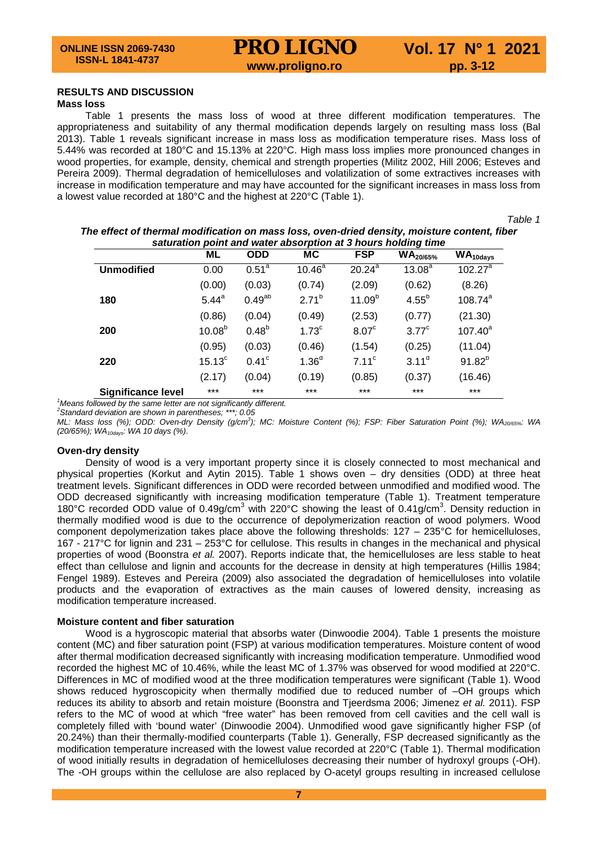# **RESULTS AND DISCUSSION**

# **Mass loss**

Table 1 presents the mass loss of wood at three different modification temperatures. The appropriateness and suitability of any thermal modification depends largely on resulting mass loss (Bal 2013). Table 1 reveals significant increase in mass loss as modification temperature rises. Mass loss of 5.44% was recorded at 180°C and 15.13% at 220°C. High mass loss implies more pronounced changes in wood properties, for example, density, chemical and strength properties (Militz 2002, Hill 2006; Esteves and Pereira 2009). Thermal degradation of hemicelluloses and volatilization of some extractives increases with increase in modification temperature and may have accounted for the significant increases in mass loss from a lowest value recorded at 180°C and the highest at 220°C (Table 1).

*Table 1*

|                           | ponne and<br>ML    | <b>ODD</b>     | <u>,,,,,,,,,,,</u><br>МC | <b>FSP</b>             | $11919119$ $11119$<br>$WA_{20/65\%}$ | $WA_{10\text{days}}$ |
|---------------------------|--------------------|----------------|--------------------------|------------------------|--------------------------------------|----------------------|
| <b>Unmodified</b>         | 0.00               | $0.51^{a}$     | $10.46^{\overline{a}}$   | $20.24^{\overline{a}}$ | $13.08^{a}$                          | $102.27^a$           |
|                           | (0.00)             | (0.03)         | (0.74)                   | (2.09)                 | (0.62)                               | (8.26)               |
| 180                       | $5.44^{a}$         | $0.49^{ab}$    | $2.71^{b}$               | 11.09 <sup>b</sup>     | $4.55^{b}$                           | $108.74^{a}$         |
|                           | (0.86)             | (0.04)         | (0.49)                   | (2.53)                 | (0.77)                               | (21.30)              |
| 200                       | 10.08 <sup>b</sup> | $0.48^{b}$     | 1.73 <sup>c</sup>        | 8.07 <sup>c</sup>      | $3.77^{\circ}$                       | $107.40^a$           |
|                           | (0.95)             | (0.03)         | (0.46)                   | (1.54)                 | (0.25)                               | (11.04)              |
| 220                       | $15.13^{\circ}$    | $0.41^{\circ}$ | 1.36 <sup>d</sup>        | $7.11^{\circ}$         | $3.11^d$                             | $91.82^{b}$          |
|                           | (2.17)             | (0.04)         | (0.19)                   | (0.85)                 | (0.37)                               | (16.46)              |
| <b>Significance level</b> | $***$              | $***$          | $***$                    | $***$                  | ***                                  | $***$                |

*The effect of thermal modification on mass loss, oven-dried density, moisture content, fiber saturation point and water absorption at 3 hours holding time*

 $\frac{1}{2}$  Means followed by the same letter are not significantly different. *Means followed by the same letter are not significantly different. <sup>2</sup> Standard deviation are shown in parentheses; \*\*\*; 0.05*

*ML: Mass loss (%); ODD: Oven-dry Density (g/cm3 ); MC: Moisture Content (%); FSP: Fiber Saturation Point (%); WA20/65%: WA (20/65%); WA10days: WA 10 days (%)*.

#### **Oven-dry density**

Density of wood is a very important property since it is closely connected to most mechanical and physical properties (Korkut and Aytin 2015). Table 1 shows oven – dry densities (ODD) at three heat treatment levels. Significant differences in ODD were recorded between unmodified and modified wood. The ODD decreased significantly with increasing modification temperature (Table 1). Treatment temperature 180°C recorded ODD value of 0.49g/cm<sup>3</sup> with 220°C showing the least of 0.41g/cm<sup>3</sup>. Density reduction in thermally modified wood is due to the occurrence of depolymerization reaction of wood polymers. Wood component depolymerization takes place above the following thresholds: 127 – 235°C for hemicelluloses, 167 - 217°C for lignin and 231 – 253°C for cellulose. This results in changes in the mechanical and physical properties of wood (Boonstra *et al.* 2007). Reports indicate that, the hemicelluloses are less stable to heat effect than cellulose and lignin and accounts for the decrease in density at high temperatures (Hillis 1984; Fengel 1989). Esteves and Pereira (2009) also associated the degradation of hemicelluloses into volatile products and the evaporation of extractives as the main causes of lowered density, increasing as modification temperature increased.

### **Moisture content and fiber saturation**

Wood is a hygroscopic material that absorbs water (Dinwoodie 2004). Table 1 presents the moisture content (MC) and fiber saturation point (FSP) at various modification temperatures. Moisture content of wood after thermal modification decreased significantly with increasing modification temperature. Unmodified wood recorded the highest MC of 10.46%, while the least MC of 1.37% was observed for wood modified at 220°C. Differences in MC of modified wood at the three modification temperatures were significant (Table 1). Wood shows reduced hygroscopicity when thermally modified due to reduced number of –OH groups which reduces its ability to absorb and retain moisture (Boonstra and Tjeerdsma 2006; Jimenez *et al.* 2011). FSP refers to the MC of wood at which "free water" has been removed from cell cavities and the cell wall is completely filled with 'bound water' (Dinwoodie 2004). Unmodified wood gave significantly higher FSP (of 20.24%) than their thermally-modified counterparts (Table 1). Generally, FSP decreased significantly as the modification temperature increased with the lowest value recorded at 220°C (Table 1). Thermal modification of wood initially results in degradation of hemicelluloses decreasing their number of hydroxyl groups (-OH). The -OH groups within the cellulose are also replaced by O-acetyl groups resulting in increased cellulose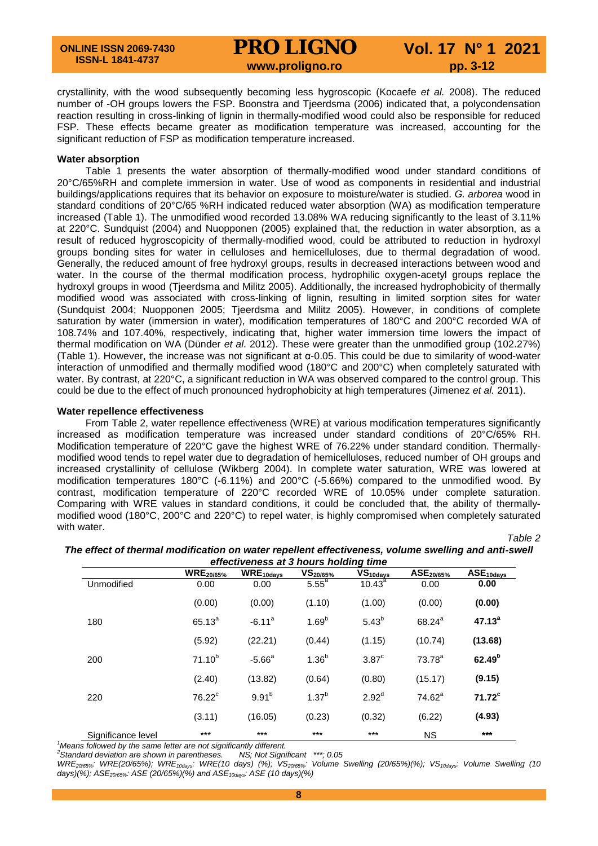crystallinity, with the wood subsequently becoming less hygroscopic (Kocaefe *et al.* 2008). The reduced number of -OH groups lowers the FSP. Boonstra and Tjeerdsma (2006) indicated that, a polycondensation reaction resulting in cross-linking of lignin in thermally-modified wood could also be responsible for reduced FSP. These effects became greater as modification temperature was increased, accounting for the significant reduction of FSP as modification temperature increased.

### **Water absorption**

Table 1 presents the water absorption of thermally-modified wood under standard conditions of 20°C/65%RH and complete immersion in water. Use of wood as components in residential and industrial buildings/applications requires that its behavior on exposure to moisture/water is studied. *G. arborea* wood in standard conditions of 20°C/65 %RH indicated reduced water absorption (WA) as modification temperature increased (Table 1). The unmodified wood recorded 13.08% WA reducing significantly to the least of 3.11% at 220°C. Sundquist (2004) and Nuopponen (2005) explained that, the reduction in water absorption, as a result of reduced hygroscopicity of thermally-modified wood, could be attributed to reduction in hydroxyl groups bonding sites for water in celluloses and hemicelluloses, due to thermal degradation of wood. Generally, the reduced amount of free hydroxyl groups, results in decreased interactions between wood and water. In the course of the thermal modification process, hydrophilic oxygen-acetyl groups replace the hydroxyl groups in wood (Tjeerdsma and Militz 2005). Additionally, the increased hydrophobicity of thermally modified wood was associated with cross-linking of lignin, resulting in limited sorption sites for water (Sundquist 2004; Nuopponen 2005; Tjeerdsma and Militz 2005). However, in conditions of complete saturation by water (immersion in water), modification temperatures of 180°C and 200°C recorded WA of 108.74% and 107.40%, respectively, indicating that, higher water immersion time lowers the impact of thermal modification on WA (Dünder *et al*. 2012). These were greater than the unmodified group (102.27%) (Table 1). However, the increase was not significant at α-0.05. This could be due to similarity of wood-water interaction of unmodified and thermally modified wood (180°C and 200°C) when completely saturated with water. By contrast, at 220°C, a significant reduction in WA was observed compared to the control group. This could be due to the effect of much pronounced hydrophobicity at high temperatures (Jimenez *et al.* 2011).

### **Water repellence effectiveness**

From Table 2, water repellence effectiveness (WRE) at various modification temperatures significantly increased as modification temperature was increased under standard conditions of 20°C/65% RH. Modification temperature of 220°C gave the highest WRE of 76.22% under standard condition. Thermallymodified wood tends to repel water due to degradation of hemicelluloses, reduced number of OH groups and increased crystallinity of cellulose (Wikberg 2004). In complete water saturation, WRE was lowered at modification temperatures 180°C (-6.11%) and 200°C (-5.66%) compared to the unmodified wood. By contrast, modification temperature of 220°C recorded WRE of 10.05% under complete saturation. Comparing with WRE values in standard conditions, it could be concluded that, the ability of thermallymodified wood (180°C, 200°C and 220°C) to repel water, is highly compromised when completely saturated with water.

*Table 2*

|                    | <b>WRE20/65%</b> | $\overline{\text{WRE}}_{10\text{days}}$ | $VS_{20/65\%}$    | $\overline{\mathsf{VS}}_\mathsf{10days}$ | ASE <sub>20/65%</sub> | $ASE_{10days}$     |
|--------------------|------------------|-----------------------------------------|-------------------|------------------------------------------|-----------------------|--------------------|
| Unmodified         | 0.00             | 0.00                                    | 5.55 <sup>a</sup> | $10.43^a$                                | 0.00                  | 0.00               |
|                    | (0.00)           | (0.00)                                  | (1.10)            | (1.00)                                   | (0.00)                | (0.00)             |
| 180                | $65.13^{a}$      | $-6.11a$                                | 1.69 <sup>b</sup> | $5.43^{b}$                               | $68.24^{a}$           | $47.13^{a}$        |
|                    | (5.92)           | (22.21)                                 | (0.44)            | (1.15)                                   | (10.74)               | (13.68)            |
| 200                | $71.10^{b}$      | $-5.66^{\circ}$                         | $1.36^{b}$        | 3.87 <sup>c</sup>                        | $73.78^a$             | 62.49 <sup>b</sup> |
|                    | (2.40)           | (13.82)                                 | (0.64)            | (0.80)                                   | (15.17)               | (9.15)             |
| 220                | $76.22^c$        | 9.91 <sup>b</sup>                       | $1.37^{b}$        | 2.92 <sup>d</sup>                        | $74.62^a$             | $71.72^c$          |
|                    | (3.11)           | (16.05)                                 | (0.23)            | (0.32)                                   | (6.22)                | (4.93)             |
| Significance level | $***$            | $***$                                   | $***$             | $***$                                    | <b>NS</b>             | $***$              |

*The effect of thermal modification on water repellent effectiveness, volume swelling and anti-swell effectiveness at 3 hours holding time*

*2 Standard deviation are shown in parentheses. NS; Not Significant \*\*\*; 0.05*

*WRE20/65%: WRE(20/65%); WRE10days: WRE(10 days) (%); VS20/65%: Volume Swelling (20/65%)(%); VS10days: Volume Swelling (10*  days)(%); ASE<sub>20/65%</sub>: ASE (20/65%)(%) and ASE<sub>10days</sub>: ASE (10 days)(%)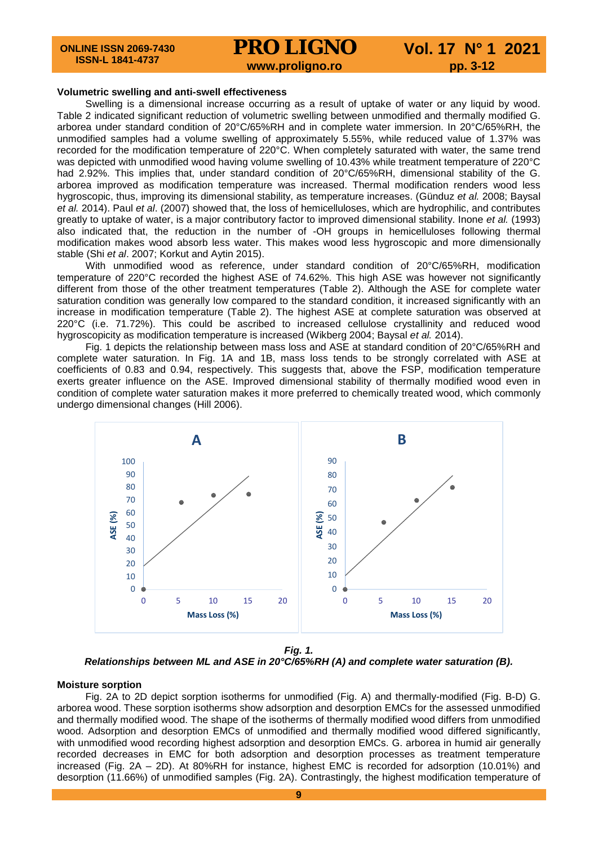#### **Volumetric swelling and anti-swell effectiveness**

Swelling is a dimensional increase occurring as a result of uptake of water or any liquid by wood. Table 2 indicated significant reduction of volumetric swelling between unmodified and thermally modified G. arborea under standard condition of 20°C/65%RH and in complete water immersion. In 20°C/65%RH, the unmodified samples had a volume swelling of approximately 5.55%, while reduced value of 1.37% was recorded for the modification temperature of 220°C. When completely saturated with water, the same trend was depicted with unmodified wood having volume swelling of 10.43% while treatment temperature of 220°C had 2.92%. This implies that, under standard condition of 20°C/65%RH, dimensional stability of the G. arborea improved as modification temperature was increased. Thermal modification renders wood less hygroscopic, thus, improving its dimensional stability, as temperature increases. (Günduz *et al.* 2008; Baysal *et al.* 2014). Paul *et al*. (2007) showed that, the loss of hemicelluloses, which are hydrophilic, and contributes greatly to uptake of water, is a major contributory factor to improved dimensional stability. Inone *et al.* (1993) also indicated that, the reduction in the number of -OH groups in hemicelluloses following thermal modification makes wood absorb less water. This makes wood less hygroscopic and more dimensionally stable (Shi *et al*. 2007; Korkut and Aytin 2015).

With unmodified wood as reference, under standard condition of 20°C/65%RH, modification temperature of 220°C recorded the highest ASE of 74.62%. This high ASE was however not significantly different from those of the other treatment temperatures (Table 2). Although the ASE for complete water saturation condition was generally low compared to the standard condition, it increased significantly with an increase in modification temperature (Table 2). The highest ASE at complete saturation was observed at 220°C (i.e. 71.72%). This could be ascribed to increased cellulose crystallinity and reduced wood hygroscopicity as modification temperature is increased (Wikberg 2004; Baysal *et al.* 2014).

Fig. 1 depicts the relationship between mass loss and ASE at standard condition of 20°C/65%RH and complete water saturation. In Fig. 1A and 1B, mass loss tends to be strongly correlated with ASE at coefficients of 0.83 and 0.94, respectively. This suggests that, above the FSP, modification temperature exerts greater influence on the ASE. Improved dimensional stability of thermally modified wood even in condition of complete water saturation makes it more preferred to chemically treated wood, which commonly undergo dimensional changes (Hill 2006).



*Fig. 1. Relationships between ML and ASE in 20°C/65%RH (A) and complete water saturation (B).*

#### **Moisture sorption**

Fig. 2A to 2D depict sorption isotherms for unmodified (Fig. A) and thermally-modified (Fig. B-D) G. arborea wood. These sorption isotherms show adsorption and desorption EMCs for the assessed unmodified and thermally modified wood. The shape of the isotherms of thermally modified wood differs from unmodified wood. Adsorption and desorption EMCs of unmodified and thermally modified wood differed significantly, with unmodified wood recording highest adsorption and desorption EMCs. G. arborea in humid air generally recorded decreases in EMC for both adsorption and desorption processes as treatment temperature increased (Fig. 2A – 2D). At 80%RH for instance, highest EMC is recorded for adsorption (10.01%) and desorption (11.66%) of unmodified samples (Fig. 2A). Contrastingly, the highest modification temperature of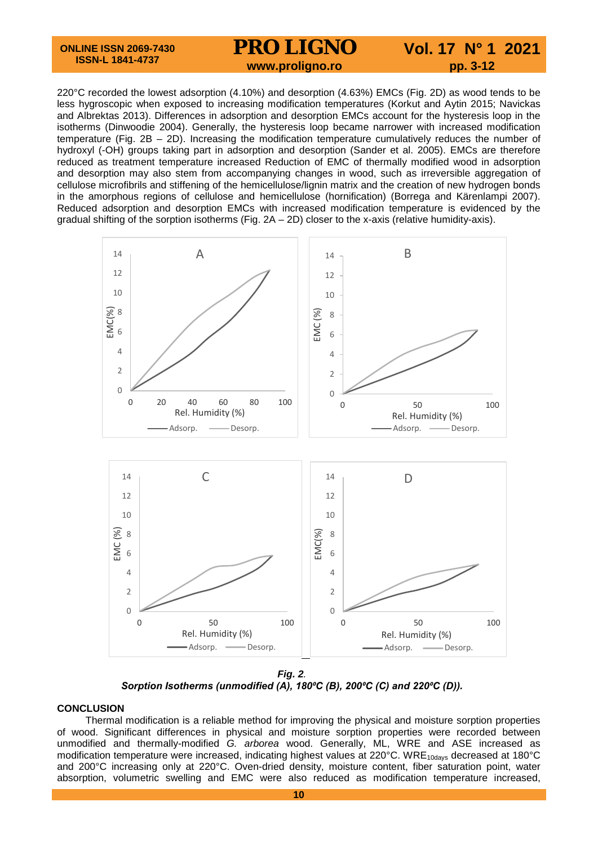220°C recorded the lowest adsorption (4.10%) and desorption (4.63%) EMCs (Fig. 2D) as wood tends to be less hygroscopic when exposed to increasing modification temperatures (Korkut and Aytin 2015; Navickas and Albrektas 2013). Differences in adsorption and desorption EMCs account for the hysteresis loop in the isotherms (Dinwoodie 2004). Generally, the hysteresis loop became narrower with increased modification temperature (Fig. 2B – 2D). Increasing the modification temperature cumulatively reduces the number of hydroxyl (-OH) groups taking part in adsorption and desorption (Sander et al. 2005). EMCs are therefore reduced as treatment temperature increased Reduction of EMC of thermally modified wood in adsorption and desorption may also stem from accompanying changes in wood, such as irreversible aggregation of cellulose microfibrils and stiffening of the hemicellulose/lignin matrix and the creation of new hydrogen bonds in the amorphous regions of cellulose and hemicellulose (hornification) (Borrega and Kärenlampi 2007). Reduced adsorption and desorption EMCs with increased modification temperature is evidenced by the gradual shifting of the sorption isotherms (Fig.  $2A - 2D$ ) closer to the x-axis (relative humidity-axis).



*Fig. 2. Sorption Isotherms (unmodified (A), 180⁰C (B), 200⁰C (C) and 220⁰C (D)).*

# **CONCLUSION**

Thermal modification is a reliable method for improving the physical and moisture sorption properties of wood. Significant differences in physical and moisture sorption properties were recorded between unmodified and thermally-modified *G. arborea* wood. Generally, ML, WRE and ASE increased as modification temperature were increased, indicating highest values at 220°C. WRE<sub>10days</sub> decreased at 180°C and 200°C increasing only at 220°C. Oven-dried density, moisture content, fiber saturation point, water absorption, volumetric swelling and EMC were also reduced as modification temperature increased,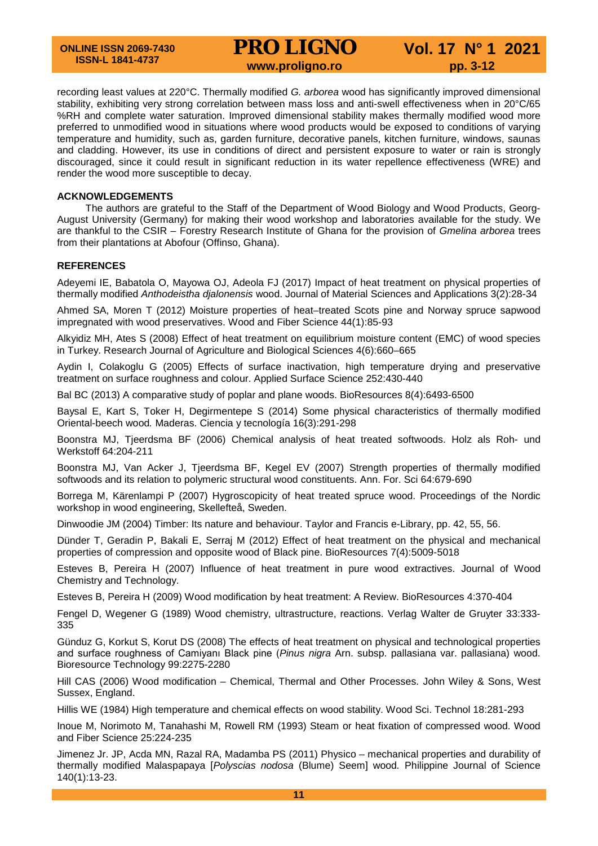recording least values at 220°C. Thermally modified *G. arborea* wood has significantly improved dimensional stability, exhibiting very strong correlation between mass loss and anti-swell effectiveness when in 20°C/65 %RH and complete water saturation. Improved dimensional stability makes thermally modified wood more preferred to unmodified wood in situations where wood products would be exposed to conditions of varying temperature and humidity, such as, garden furniture, decorative panels, kitchen furniture, windows, saunas and cladding. However, its use in conditions of direct and persistent exposure to water or rain is strongly discouraged, since it could result in significant reduction in its water repellence effectiveness (WRE) and render the wood more susceptible to decay.

# **ACKNOWLEDGEMENTS**

The authors are grateful to the Staff of the Department of Wood Biology and Wood Products, Georg-August University (Germany) for making their wood workshop and laboratories available for the study. We are thankful to the CSIR – Forestry Research Institute of Ghana for the provision of *Gmelina arborea* trees from their plantations at Abofour (Offinso, Ghana).

# **REFERENCES**

Adeyemi IE, Babatola O, Mayowa OJ, Adeola FJ (2017) Impact of heat treatment on physical properties of thermally modified *Anthodeistha djalonensis* wood. Journal of Material Sciences and Applications 3(2):28-34

Ahmed SA, Moren T (2012) Moisture properties of heat–treated Scots pine and Norway spruce sapwood impregnated with wood preservatives. Wood and Fiber Science 44(1):85-93

Alkyidiz MH, Ates S (2008) Effect of heat treatment on equilibrium moisture content (EMC) of wood species in Turkey. Research Journal of Agriculture and Biological Sciences 4(6):660–665

Aydin I, Colakoglu G (2005) Effects of surface inactivation, high temperature drying and preservative treatment on surface roughness and colour. Applied Surface Science 252:430-440

Bal BC (2013) A comparative study of poplar and plane woods. BioResources 8(4):6493-6500

Baysal E, Kart S, Toker H, Degirmentepe S (2014) Some physical characteristics of thermally modified Oriental-beech wood*.* Maderas. Ciencia y tecnología 16(3):291-298

Boonstra MJ, Tjeerdsma BF (2006) Chemical analysis of heat treated softwoods. Holz als Roh- und Werkstoff 64:204-211

Boonstra MJ, Van Acker J, Tjeerdsma BF, Kegel EV (2007) Strength properties of thermally modified softwoods and its relation to polymeric structural wood constituents. Ann. For. Sci 64:679-690

Borrega M, Kärenlampi P (2007) Hygroscopicity of heat treated spruce wood. Proceedings of the Nordic workshop in wood engineering, Skellefteå, Sweden.

Dinwoodie JM (2004) Timber: Its nature and behaviour. Taylor and Francis e-Library, pp. 42, 55, 56.

Dünder T, Geradin P, Bakali E, Serraj M (2012) Effect of heat treatment on the physical and mechanical properties of compression and opposite wood of Black pine. BioResources 7(4):5009-5018

Esteves B, Pereira H (2007) Influence of heat treatment in pure wood extractives. Journal of Wood Chemistry and Technology.

Esteves B, Pereira H (2009) Wood modification by heat treatment: A Review. BioResources 4:370-404

Fengel D, Wegener G (1989) Wood chemistry, ultrastructure, reactions. Verlag Walter de Gruyter 33:333- 335

Günduz G, Korkut S, Korut DS (2008) The effects of heat treatment on physical and technological properties and surface roughness of Camiyanı Black pine (*Pinus nigra* Arn. subsp. pallasiana var. pallasiana) wood. Bioresource Technology 99:2275-2280

Hill CAS (2006) Wood modification – Chemical, Thermal and Other Processes. John Wiley & Sons, West Sussex, England.

Hillis WE (1984) High temperature and chemical effects on wood stability. Wood Sci. Technol 18:281-293

Inoue M, Norimoto M, Tanahashi M, Rowell RM (1993) Steam or heat fixation of compressed wood. Wood and Fiber Science 25:224-235

Jimenez Jr. JP, Acda MN, Razal RA, Madamba PS (2011) Physico – mechanical properties and durability of thermally modified Malaspapaya [*Polyscias nodosa* (Blume) Seem] wood*.* Philippine Journal of Science 140(1):13-23.